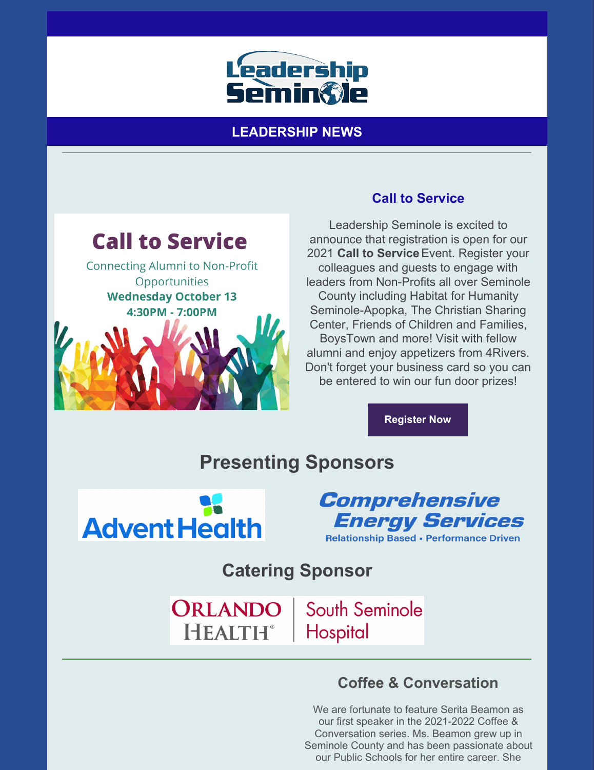

## **LEADERSHIP NEWS**



**Connecting Alumni to Non-Profit** Opportunities **Wednesday October 13** 4:30PM - 7:00PM



### **Call to Service**

Leadership Seminole is excited to announce that registration is open for our 2021 **Call to Service**Event. Register your colleagues and guests to engage with leaders from Non-Profits all over Seminole County including Habitat for Humanity Seminole-Apopka, The Christian Sharing Center, Friends of Children and Families, BoysTown and more! Visit with fellow alumni and enjoy appetizers from 4Rivers. Don't forget your business card so you can be entered to win our fun door prizes!

**Register Now**

# **Presenting Sponsors**



**Comprehensive Energy Services Relationship Based - Performance Driven** 

**Catering Sponsor**

ORLANDO **HEALTH®** 

South Seminole Hospital

## **Coffee & Conversation**

We are fortunate to feature Serita Beamon as our first speaker in the 2021-2022 Coffee & Conversation series. Ms. Beamon grew up in Seminole County and has been passionate about our Public Schools for her entire career. She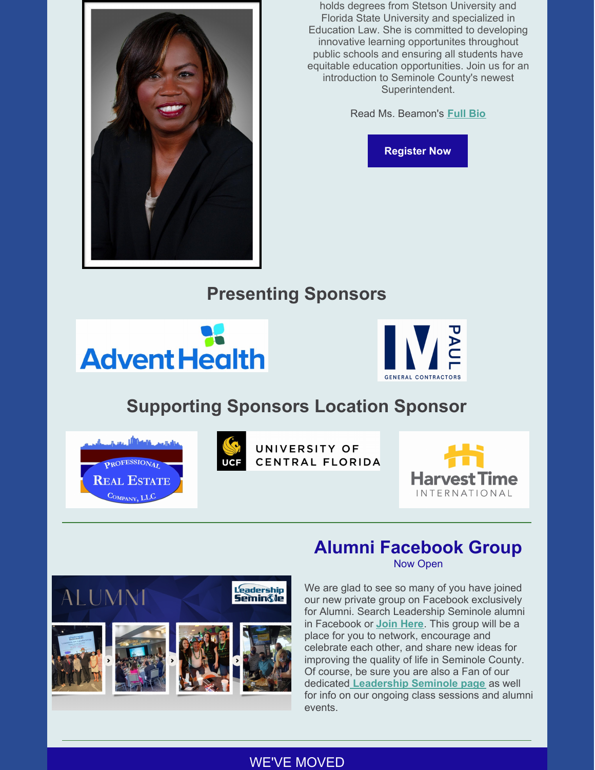

holds degrees from Stetson University and Florida State University and specialized in Education Law. She is committed to developing innovative learning opportunites throughout public schools and ensuring all students have equitable education opportunities. Join us for an introduction to Seminole County's newest Superintendent.

Read Ms. Beamon's **[Full](https://files.constantcontact.com/206c3f27be/7f0cc68b-44ee-4c3a-8a24-2a2d502ad38a.pdf) Bio**

**[Register](https://leadershipseminole.org/event/coffee-conversation/) Now**

# **Presenting Sponsors**





# **Supporting Sponsors Location Sponsor**





UNIVERSITY OF CENTRAL FLORIDA



# **Alumni Facebook Group**

Now Open



We are glad to see so many of you have joined our new private group on Facebook exclusively for Alumni. Search Leadership Seminole alumni in Facebook or **Join [Here](https://www.facebook.com/groups/leadershipseminolealumni)**. This group will be a place for you to network, encourage and celebrate each other, and share new ideas for improving the quality of life in Seminole County. Of course, be sure you are also a Fan of our dedicated **[Leadership](https://www.facebook.com/LeadershipSeminole) Seminole page** as well for info on our ongoing class sessions and alumni events.

#### WE'VE MOVED